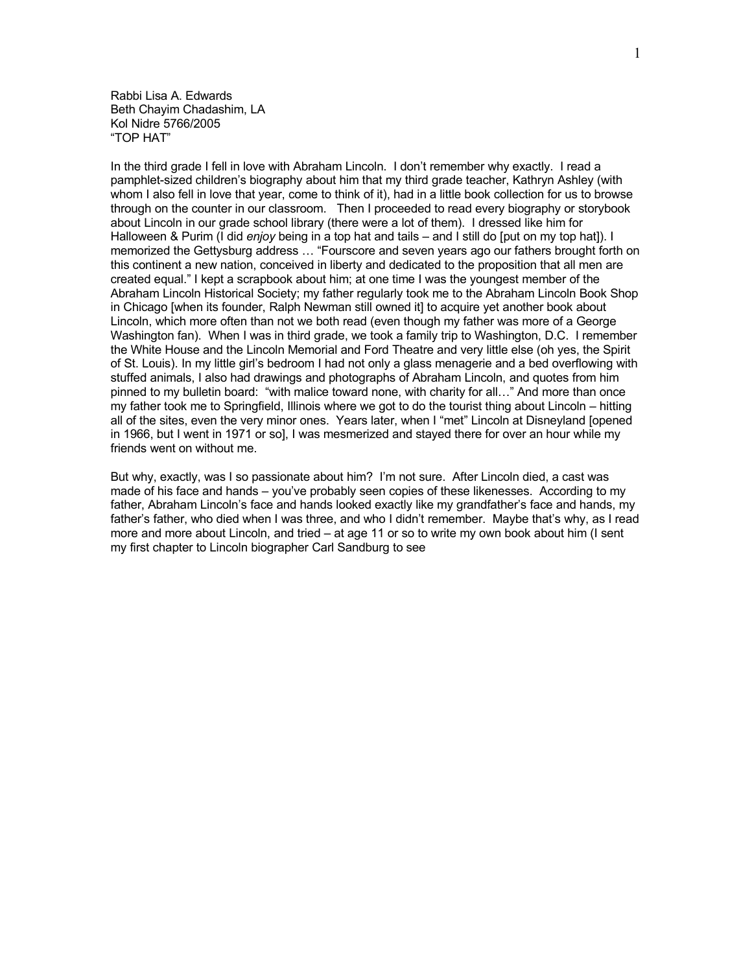Rabbi Lisa A. Edwards Beth Chayim Chadashim, LA Kol Nidre 5766/2005 "TOP HAT"

In the third grade I fell in love with Abraham Lincoln. I don't remember why exactly. I read a pamphlet-sized children's biography about him that my third grade teacher, Kathryn Ashley (with whom I also fell in love that year, come to think of it), had in a little book collection for us to browse through on the counter in our classroom. Then I proceeded to read every biography or storybook about Lincoln in our grade school library (there were a lot of them). I dressed like him for Halloween & Purim (I did *enjoy* being in a top hat and tails – and I still do [put on my top hat]). I memorized the Gettysburg address … "Fourscore and seven years ago our fathers brought forth on this continent a new nation, conceived in liberty and dedicated to the proposition that all men are created equal." I kept a scrapbook about him; at one time I was the youngest member of the Abraham Lincoln Historical Society; my father regularly took me to the Abraham Lincoln Book Shop in Chicago [when its founder, Ralph Newman still owned it] to acquire yet another book about Lincoln, which more often than not we both read (even though my father was more of a George Washington fan). When I was in third grade, we took a family trip to Washington, D.C. I remember the White House and the Lincoln Memorial and Ford Theatre and very little else (oh yes, the Spirit of St. Louis). In my little girl's bedroom I had not only a glass menagerie and a bed overflowing with stuffed animals, I also had drawings and photographs of Abraham Lincoln, and quotes from him pinned to my bulletin board: "with malice toward none, with charity for all…" And more than once my father took me to Springfield, Illinois where we got to do the tourist thing about Lincoln – hitting all of the sites, even the very minor ones. Years later, when I "met" Lincoln at Disneyland [opened in 1966, but I went in 1971 or so], I was mesmerized and stayed there for over an hour while my friends went on without me.

But why, exactly, was I so passionate about him? I'm not sure. After Lincoln died, a cast was made of his face and hands – you've probably seen copies of these likenesses. According to my father, Abraham Lincoln's face and hands looked exactly like my grandfather's face and hands, my father's father, who died when I was three, and who I didn't remember. Maybe that's why, as I read more and more about Lincoln, and tried – at age 11 or so to write my own book about him (I sent my first chapter to Lincoln biographer Carl Sandburg to see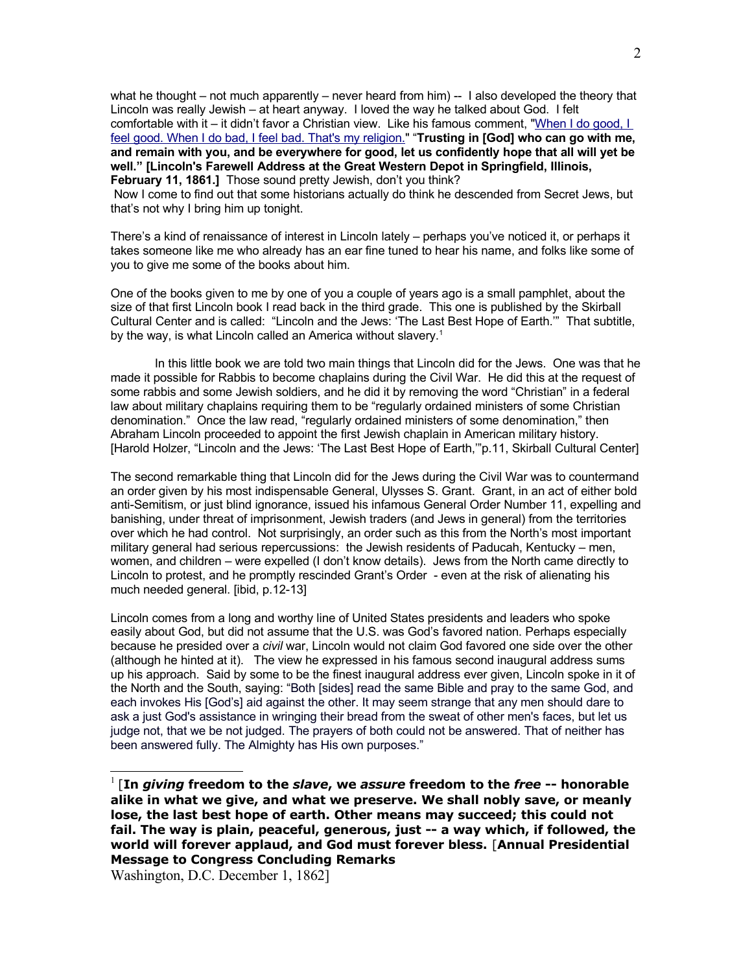what he thought – not much apparently – never heard from him) -- I also developed the theory that Lincoln was really Jewish – at heart anyway. I loved the way he talked about God. I felt comfortable with it – it didn't favor a Christian view. Like his famous comment, ["When I do good, I](http://en.thinkexist.com/quotation/when_i_do_good-i_feel_good-when_i_do_bad-i_feel/221008.html) [feel good. When I do bad, I feel bad. That's my religion."](http://en.thinkexist.com/quotation/when_i_do_good-i_feel_good-when_i_do_bad-i_feel/221008.html) "**Trusting in [God] who can go with me, and remain with you, and be everywhere for good, let us confidently hope that all will yet be well." [Lincoln's Farewell Address at the Great Western Depot in Springfield, Illinois, February 11, 1861.]** Those sound pretty Jewish, don't you think?

 Now I come to find out that some historians actually do think he descended from Secret Jews, but that's not why I bring him up tonight.

There's a kind of renaissance of interest in Lincoln lately – perhaps you've noticed it, or perhaps it takes someone like me who already has an ear fine tuned to hear his name, and folks like some of you to give me some of the books about him.

One of the books given to me by one of you a couple of years ago is a small pamphlet, about the size of that first Lincoln book I read back in the third grade. This one is published by the Skirball Cultural Center and is called: "Lincoln and the Jews: 'The Last Best Hope of Earth.'" That subtitle, by the way, is what Lincoln called an America without slavery.<sup>[1](#page-1-0)</sup>

In this little book we are told two main things that Lincoln did for the Jews. One was that he made it possible for Rabbis to become chaplains during the Civil War. He did this at the request of some rabbis and some Jewish soldiers, and he did it by removing the word "Christian" in a federal law about military chaplains requiring them to be "regularly ordained ministers of some Christian denomination." Once the law read, "regularly ordained ministers of some denomination," then Abraham Lincoln proceeded to appoint the first Jewish chaplain in American military history. [Harold Holzer, "Lincoln and the Jews: 'The Last Best Hope of Earth," p.11, Skirball Cultural Center]

The second remarkable thing that Lincoln did for the Jews during the Civil War was to countermand an order given by his most indispensable General, Ulysses S. Grant. Grant, in an act of either bold anti-Semitism, or just blind ignorance, issued his infamous General Order Number 11, expelling and banishing, under threat of imprisonment, Jewish traders (and Jews in general) from the territories over which he had control. Not surprisingly, an order such as this from the North's most important military general had serious repercussions: the Jewish residents of Paducah, Kentucky – men, women, and children – were expelled (I don't know details). Jews from the North came directly to Lincoln to protest, and he promptly rescinded Grant's Order - even at the risk of alienating his much needed general. [ibid, p.12-13]

Lincoln comes from a long and worthy line of United States presidents and leaders who spoke easily about God, but did not assume that the U.S. was God's favored nation. Perhaps especially because he presided over a *civil* war, Lincoln would not claim God favored one side over the other (although he hinted at it). The view he expressed in his famous second inaugural address sums up his approach. Said by some to be the finest inaugural address ever given, Lincoln spoke in it of the North and the South, saying: "Both [sides] read the same Bible and pray to the same God, and each invokes His [God's] aid against the other. It may seem strange that any men should dare to ask a just God's assistance in wringing their bread from the sweat of other men's faces, but let us judge not, that we be not judged. The prayers of both could not be answered. That of neither has been answered fully. The Almighty has His own purposes."

Washington, D.C. December 1, 1862]

<span id="page-1-0"></span><sup>1</sup> [**In** *giving* **freedom to the** *slave***, we** *assure* **freedom to the** *free* **-- honorable alike in what we give, and what we preserve. We shall nobly save, or meanly lose, the last best hope of earth. Other means may succeed; this could not fail. The way is plain, peaceful, generous, just -- a way which, if followed, the world will forever applaud, and God must forever bless.** [**Annual Presidential Message to Congress Concluding Remarks**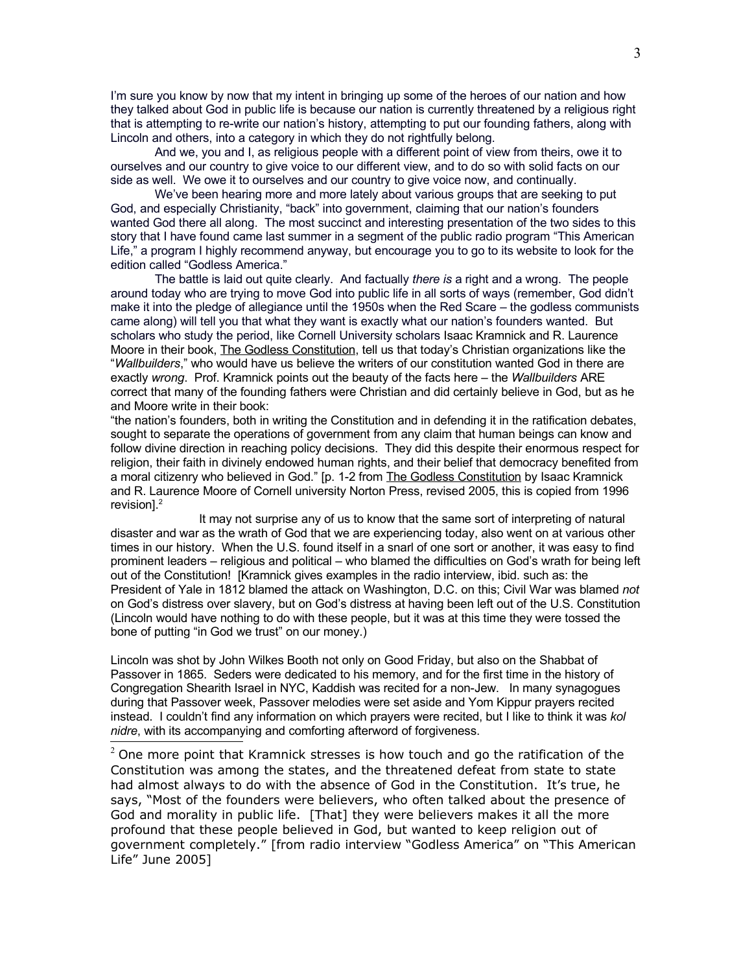I'm sure you know by now that my intent in bringing up some of the heroes of our nation and how they talked about God in public life is because our nation is currently threatened by a religious right that is attempting to re-write our nation's history, attempting to put our founding fathers, along with Lincoln and others, into a category in which they do not rightfully belong.

And we, you and I, as religious people with a different point of view from theirs, owe it to ourselves and our country to give voice to our different view, and to do so with solid facts on our side as well. We owe it to ourselves and our country to give voice now, and continually.

We've been hearing more and more lately about various groups that are seeking to put God, and especially Christianity, "back" into government, claiming that our nation's founders wanted God there all along. The most succinct and interesting presentation of the two sides to this story that I have found came last summer in a segment of the public radio program "This American Life," a program I highly recommend anyway, but encourage you to go to its website to look for the edition called "Godless America."

The battle is laid out quite clearly. And factually *there is* a right and a wrong. The people around today who are trying to move God into public life in all sorts of ways (remember, God didn't make it into the pledge of allegiance until the 1950s when the Red Scare – the godless communists came along) will tell you that what they want is exactly what our nation's founders wanted. But scholars who study the period, like Cornell University scholars Isaac Kramnick and R. Laurence Moore in their book, The Godless Constitution, tell us that today's Christian organizations like the "*Wallbuilders*," who would have us believe the writers of our constitution wanted God in there are exactly *wrong*. Prof. Kramnick points out the beauty of the facts here – the *Wallbuilders* ARE correct that many of the founding fathers were Christian and did certainly believe in God, but as he and Moore write in their book:

"the nation's founders, both in writing the Constitution and in defending it in the ratification debates, sought to separate the operations of government from any claim that human beings can know and follow divine direction in reaching policy decisions. They did this despite their enormous respect for religion, their faith in divinely endowed human rights, and their belief that democracy benefited from a moral citizenry who believed in God." [p. 1-2 from The Godless Constitution by Isaac Kramnick and R. Laurence Moore of Cornell university Norton Press, revised 2005, this is copied from 1996 revision<sup>1</sup>.<sup>[2](#page-2-0)</sup>

It may not surprise any of us to know that the same sort of interpreting of natural disaster and war as the wrath of God that we are experiencing today, also went on at various other times in our history. When the U.S. found itself in a snarl of one sort or another, it was easy to find prominent leaders – religious and political – who blamed the difficulties on God's wrath for being left out of the Constitution! [Kramnick gives examples in the radio interview, ibid. such as: the President of Yale in 1812 blamed the attack on Washington, D.C. on this; Civil War was blamed *not* on God's distress over slavery, but on God's distress at having been left out of the U.S. Constitution (Lincoln would have nothing to do with these people, but it was at this time they were tossed the bone of putting "in God we trust" on our money.)

Lincoln was shot by John Wilkes Booth not only on Good Friday, but also on the Shabbat of Passover in 1865. Seders were dedicated to his memory, and for the first time in the history of Congregation Shearith Israel in NYC, Kaddish was recited for a non-Jew. In many synagogues during that Passover week, Passover melodies were set aside and Yom Kippur prayers recited instead. I couldn't find any information on which prayers were recited, but I like to think it was *kol nidre*, with its accompanying and comforting afterword of forgiveness.

<span id="page-2-0"></span> $2$  One more point that Kramnick stresses is how touch and go the ratification of the Constitution was among the states, and the threatened defeat from state to state had almost always to do with the absence of God in the Constitution. It's true, he says, "Most of the founders were believers, who often talked about the presence of God and morality in public life. [That] they were believers makes it all the more profound that these people believed in God, but wanted to keep religion out of government completely." [from radio interview "Godless America" on "This American Life" June 2005]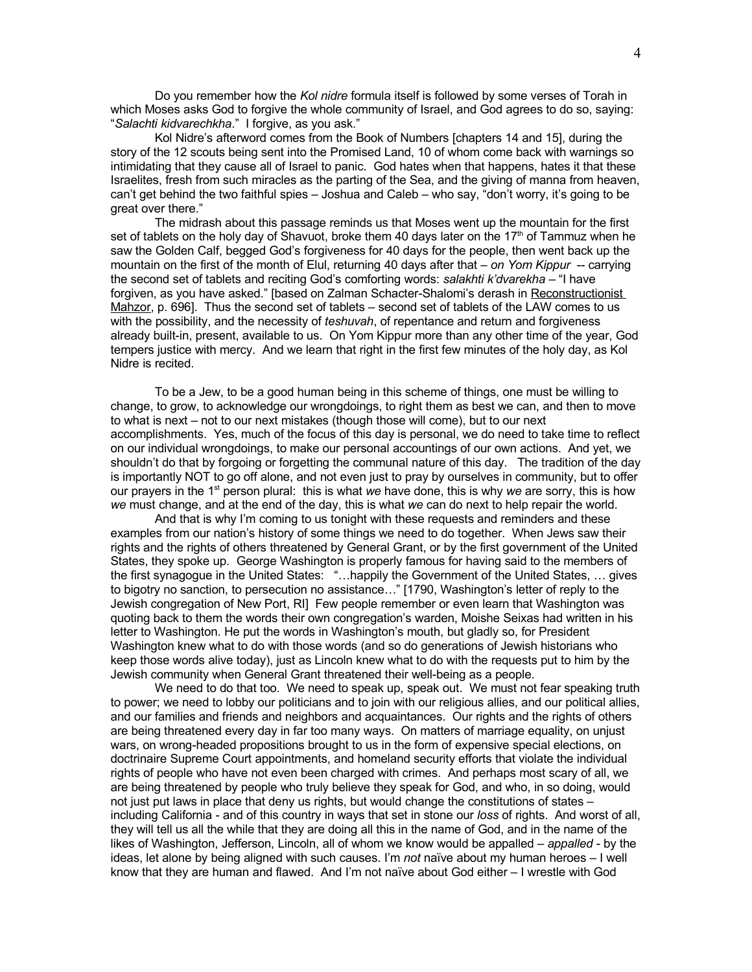Do you remember how the *Kol nidre* formula itself is followed by some verses of Torah in which Moses asks God to forgive the whole community of Israel, and God agrees to do so, saying: "*Salachti kidvarechkha*." I forgive, as you ask."

Kol Nidre's afterword comes from the Book of Numbers [chapters 14 and 15], during the story of the 12 scouts being sent into the Promised Land, 10 of whom come back with warnings so intimidating that they cause all of Israel to panic. God hates when that happens, hates it that these Israelites, fresh from such miracles as the parting of the Sea, and the giving of manna from heaven, can't get behind the two faithful spies – Joshua and Caleb – who say, "don't worry, it's going to be great over there."

The midrash about this passage reminds us that Moses went up the mountain for the first set of tablets on the holy day of Shavuot, broke them 40 days later on the 17<sup>th</sup> of Tammuz when he saw the Golden Calf, begged God's forgiveness for 40 days for the people, then went back up the mountain on the first of the month of Elul, returning 40 days after that – *on Yom Kippur* -- carrying the second set of tablets and reciting God's comforting words: *salakhti k'dvarekha* – "I have forgiven, as you have asked." [based on Zalman Schacter-Shalomi's derash in Reconstructionist Mahzor, p. 696]. Thus the second set of tablets – second set of tablets of the LAW comes to us with the possibility, and the necessity of *teshuvah*, of repentance and return and forgiveness already built-in, present, available to us. On Yom Kippur more than any other time of the year, God tempers justice with mercy. And we learn that right in the first few minutes of the holy day, as Kol Nidre is recited.

To be a Jew, to be a good human being in this scheme of things, one must be willing to change, to grow, to acknowledge our wrongdoings, to right them as best we can, and then to move to what is next – not to our next mistakes (though those will come), but to our next accomplishments. Yes, much of the focus of this day is personal, we do need to take time to reflect on our individual wrongdoings, to make our personal accountings of our own actions. And yet, we shouldn't do that by forgoing or forgetting the communal nature of this day. The tradition of the day is importantly NOT to go off alone, and not even just to pray by ourselves in community, but to offer our prayers in the 1st person plural: this is what *we* have done, this is why *we* are sorry, this is how *we* must change, and at the end of the day, this is what *we* can do next to help repair the world.

And that is why I'm coming to us tonight with these requests and reminders and these examples from our nation's history of some things we need to do together. When Jews saw their rights and the rights of others threatened by General Grant, or by the first government of the United States, they spoke up. George Washington is properly famous for having said to the members of the first synagogue in the United States: "…happily the Government of the United States, … gives to bigotry no sanction, to persecution no assistance…" [1790, Washington's letter of reply to the Jewish congregation of New Port, RI] Few people remember or even learn that Washington was quoting back to them the words their own congregation's warden, Moishe Seixas had written in his letter to Washington. He put the words in Washington's mouth, but gladly so, for President Washington knew what to do with those words (and so do generations of Jewish historians who keep those words alive today), just as Lincoln knew what to do with the requests put to him by the Jewish community when General Grant threatened their well-being as a people.

We need to do that too. We need to speak up, speak out. We must not fear speaking truth to power; we need to lobby our politicians and to join with our religious allies, and our political allies, and our families and friends and neighbors and acquaintances. Our rights and the rights of others are being threatened every day in far too many ways. On matters of marriage equality, on unjust wars, on wrong-headed propositions brought to us in the form of expensive special elections, on doctrinaire Supreme Court appointments, and homeland security efforts that violate the individual rights of people who have not even been charged with crimes. And perhaps most scary of all, we are being threatened by people who truly believe they speak for God, and who, in so doing, would not just put laws in place that deny us rights, but would change the constitutions of states – including California - and of this country in ways that set in stone our *loss* of rights. And worst of all, they will tell us all the while that they are doing all this in the name of God, and in the name of the likes of Washington, Jefferson, Lincoln, all of whom we know would be appalled – *appalled* - by the ideas, let alone by being aligned with such causes. I'm *not* naïve about my human heroes – I well know that they are human and flawed. And I'm not naïve about God either – I wrestle with God